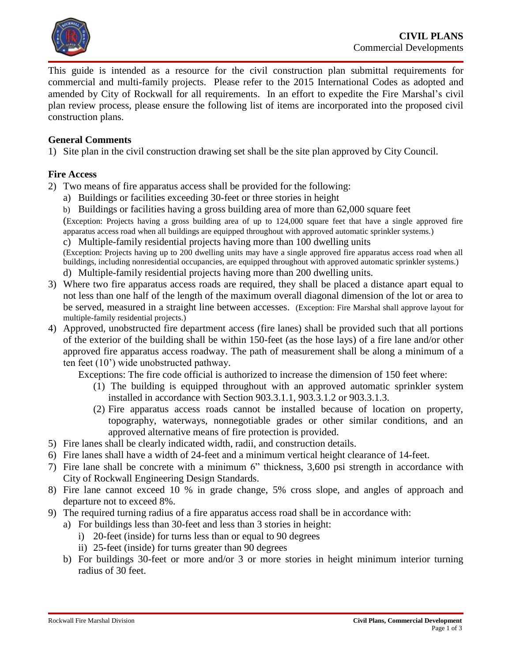

This guide is intended as a resource for the civil construction plan submittal requirements for commercial and multi-family projects. Please refer to the 2015 International Codes as adopted and amended by City of Rockwall for all requirements. In an effort to expedite the Fire Marshal's civil plan review process, please ensure the following list of items are incorporated into the proposed civil construction plans.

### **General Comments**

1) Site plan in the civil construction drawing set shall be the site plan approved by City Council.

#### **Fire Access**

- 2) Two means of fire apparatus access shall be provided for the following:
	- a) Buildings or facilities exceeding 30-feet or three stories in height
	- b) Buildings or facilities having a gross building area of more than 62,000 square feet

(Exception: Projects having a gross building area of up to 124,000 square feet that have a single approved fire apparatus access road when all buildings are equipped throughout with approved automatic sprinkler systems.)

c) Multiple-family residential projects having more than 100 dwelling units

(Exception: Projects having up to 200 dwelling units may have a single approved fire apparatus access road when all buildings, including nonresidential occupancies, are equipped throughout with approved automatic sprinkler systems.) d) Multiple-family residential projects having more than 200 dwelling units.

- 3) Where two fire apparatus access roads are required, they shall be placed a distance apart equal to not less than one half of the length of the maximum overall diagonal dimension of the lot or area to be served, measured in a straight line between accesses. (Exception: Fire Marshal shall approve layout for multiple-family residential projects.)
- 4) Approved, unobstructed fire department access (fire lanes) shall be provided such that all portions of the exterior of the building shall be within 150-feet (as the hose lays) of a fire lane and/or other approved fire apparatus access roadway. The path of measurement shall be along a minimum of a ten feet (10') wide unobstructed pathway.

Exceptions: The fire code official is authorized to increase the dimension of 150 feet where:

- (1) The building is equipped throughout with an approved automatic sprinkler system installed in accordance with Section 903.3.1.1, 903.3.1.2 or 903.3.1.3.
- (2) Fire apparatus access roads cannot be installed because of location on property, topography, waterways, nonnegotiable grades or other similar conditions, and an approved alternative means of fire protection is provided.
- 5) Fire lanes shall be clearly indicated width, radii, and construction details.
- 6) Fire lanes shall have a width of 24-feet and a minimum vertical height clearance of 14-feet.
- 7) Fire lane shall be concrete with a minimum 6" thickness, 3,600 psi strength in accordance with City of Rockwall Engineering Design Standards.
- 8) Fire lane cannot exceed 10 % in grade change, 5% cross slope, and angles of approach and departure not to exceed 8%.
- 9) The required turning radius of a fire apparatus access road shall be in accordance with:
	- a) For buildings less than 30-feet and less than 3 stories in height:
		- i) 20-feet (inside) for turns less than or equal to 90 degrees
		- ii) 25-feet (inside) for turns greater than 90 degrees
	- b) For buildings 30-feet or more and/or 3 or more stories in height minimum interior turning radius of 30 feet.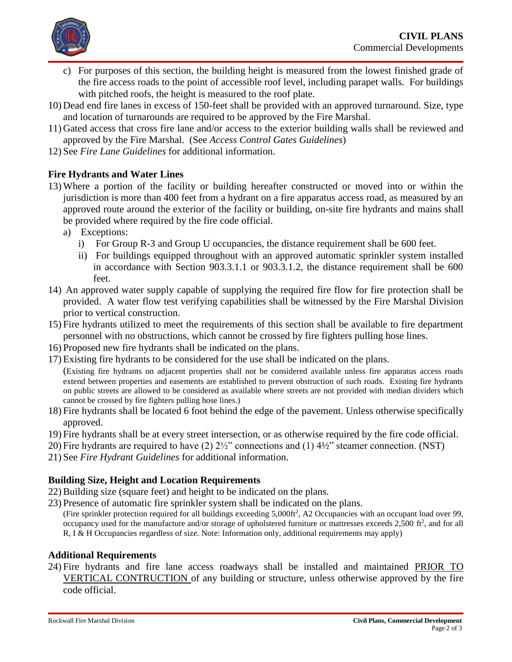

- c) For purposes of this section, the building height is measured from the lowest finished grade of the fire access roads to the point of accessible roof level, including parapet walls. For buildings with pitched roofs, the height is measured to the roof plate.
- 10) Dead end fire lanes in excess of 150-feet shall be provided with an approved turnaround. Size, type and location of turnarounds are required to be approved by the Fire Marshal.
- 11) Gated access that cross fire lane and/or access to the exterior building walls shall be reviewed and approved by the Fire Marshal. (See *Access Control Gates Guidelines*)
- 12) See *Fire Lane Guidelines* for additional information.

# **Fire Hydrants and Water Lines**

- 13) Where a portion of the facility or building hereafter constructed or moved into or within the jurisdiction is more than 400 feet from a hydrant on a fire apparatus access road, as measured by an approved route around the exterior of the facility or building, on-site fire hydrants and mains shall be provided where required by the fire code official.
	- a) Exceptions:
		- i) For Group R-3 and Group U occupancies, the distance requirement shall be 600 feet.
		- ii) For buildings equipped throughout with an approved automatic sprinkler system installed in accordance with Section 903.3.1.1 or 903.3.1.2, the distance requirement shall be 600 feet.
- 14) An approved water supply capable of supplying the required fire flow for fire protection shall be provided. A water flow test verifying capabilities shall be witnessed by the Fire Marshal Division prior to vertical construction.
- 15) Fire hydrants utilized to meet the requirements of this section shall be available to fire department personnel with no obstructions, which cannot be crossed by fire fighters pulling hose lines.
- 16) Proposed new fire hydrants shall be indicated on the plans.
- 17) Existing fire hydrants to be considered for the use shall be indicated on the plans.

(Existing fire hydrants on adjacent properties shall not be considered available unless fire apparatus access roads extend between properties and easements are established to prevent obstruction of such roads. Existing fire hydrants on public streets are allowed to be considered as available where streets are not provided with median dividers which cannot be crossed by fire fighters pulling hose lines.)

- 18) Fire hydrants shall be located 6 foot behind the edge of the pavement. Unless otherwise specifically approved.
- 19) Fire hydrants shall be at every street intersection, or as otherwise required by the fire code official.
- 20) Fire hydrants are required to have (2) 2½" connections and (1) 4½" steamer connection. (NST)
- 21) See *Fire Hydrant Guidelines* for additional information.

# **Building Size, Height and Location Requirements**

- 22) Building size (square feet) and height to be indicated on the plans.
- 23) Presence of automatic fire sprinkler system shall be indicated on the plans.
	- (Fire sprinkler protection required for all buildings exceeding 5,000ft<sup>2</sup>, A2 Occupancies with an occupant load over 99, occupancy used for the manufacture and/or storage of upholstered furniture or mattresses exceeds  $2,500$  ft<sup>2</sup>, and for all R, I & H Occupancies regardless of size. Note: Information only, additional requirements may apply)

# **Additional Requirements**

24) Fire hydrants and fire lane access roadways shall be installed and maintained PRIOR TO VERTICAL CONTRUCTION of any building or structure, unless otherwise approved by the fire code official.